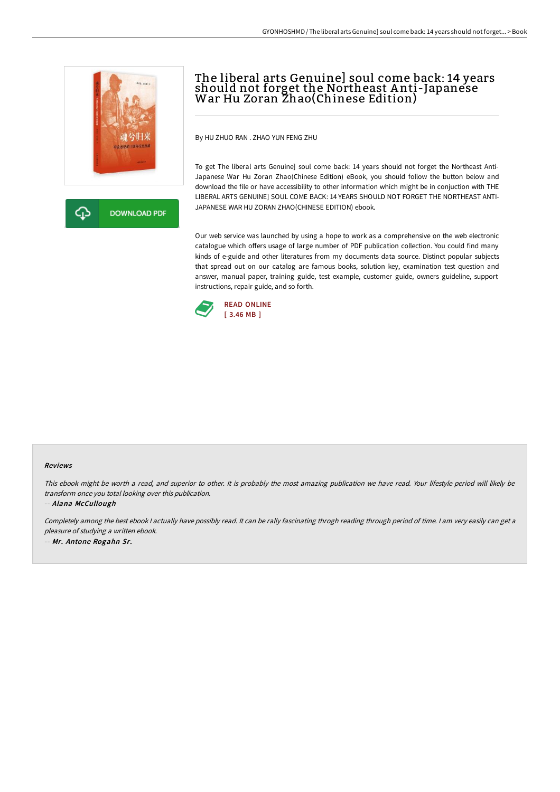

**DOWNLOAD PDF** 

# The liberal arts Genuine] soul come back: 14 years should not forget the Northeast A nti-Japanese War Hu Zoran Zhao(Chinese Edition)

By HU ZHUO RAN . ZHAO YUN FENG ZHU

To get The liberal arts Genuine] soul come back: 14 years should not forget the Northeast Anti-Japanese War Hu Zoran Zhao(Chinese Edition) eBook, you should follow the button below and download the file or have accessibility to other information which might be in conjuction with THE LIBERAL ARTS GENUINE] SOUL COME BACK: 14 YEARS SHOULD NOT FORGET THE NORTHEAST ANTI-JAPANESE WAR HU ZORAN ZHAO(CHINESE EDITION) ebook.

Our web service was launched by using a hope to work as a comprehensive on the web electronic catalogue which offers usage of large number of PDF publication collection. You could find many kinds of e-guide and other literatures from my documents data source. Distinct popular subjects that spread out on our catalog are famous books, solution key, examination test question and answer, manual paper, training guide, test example, customer guide, owners guideline, support instructions, repair guide, and so forth.



#### Reviews

This ebook might be worth <sup>a</sup> read, and superior to other. It is probably the most amazing publication we have read. Your lifestyle period will likely be transform once you total looking over this publication.

-- Alana McCullough

Completely among the best ebook I actually have possibly read. It can be rally fascinating throgh reading through period of time. I am very easily can get a pleasure of studying <sup>a</sup> written ebook. -- Mr. Antone Rogahn Sr.